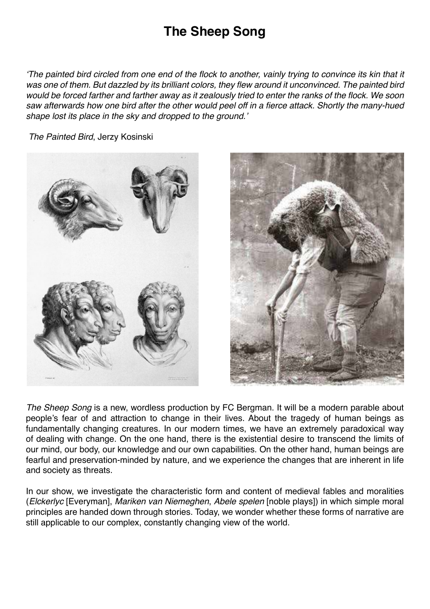# **The Sheep Song**

'The painted bird circled from one end of the flock to another, vainly trying to convince its kin that it was one of them. But dazzled by its brilliant colors, they flew around it unconvinced. The painted bird would be forced farther and farther away as it zealously tried to enter the ranks of the flock. We soon saw afterwards how one bird after the other would peel off in a fierce attack. Shortly the many-hued shape lost its place in the sky and dropped to the ground.'



The Painted Bird, Jerzy Kosinski



The Sheep Song is a new, wordless production by FC Bergman. It will be a modern parable about people's fear of and attraction to change in their lives. About the tragedy of human beings as fundamentally changing creatures. In our modern times, we have an extremely paradoxical way of dealing with change. On the one hand, there is the existential desire to transcend the limits of our mind, our body, our knowledge and our own capabilities. On the other hand, human beings are fearful and preservation-minded by nature, and we experience the changes that are inherent in life and society as threats.

In our show, we investigate the characteristic form and content of medieval fables and moralities (Elckerlyc [Everyman], Mariken van Niemeghen, Abele spelen [noble plays]) in which simple moral principles are handed down through stories. Today, we wonder whether these forms of narrative are still applicable to our complex, constantly changing view of the world.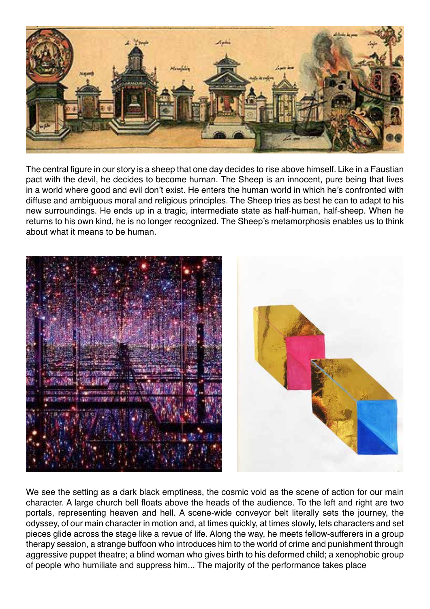

The central figure in our story is a sheep that one day decides to rise above himself. Like in a Faustian pact with the devil, he decides to become human. The Sheep is an innocent, pure being that lives in a world where good and evil don't exist. He enters the human world in which he's confronted with diffuse and ambiguous moral and religious principles. The Sheep tries as best he can to adapt to his new surroundings. He ends up in a tragic, intermediate state as half-human, half-sheep. When he returns to his own kind, he is no longer recognized. The Sheep's metamorphosis enables us to think about what it means to be human.



We see the setting as a dark black emptiness, the cosmic void as the scene of action for our main character. A large church bell floats above the heads of the audience. To the left and right are two portals, representing heaven and hell. A scene-wide conveyor belt literally sets the journey, the odyssey, of our main character in motion and, at times quickly, at times slowly, lets characters and set pieces glide across the stage like a revue of life. Along the way, he meets fellow-sufferers in a group therapy session, a strange buffoon who introduces him to the world of crime and punishment through aggressive puppet theatre; a blind woman who gives birth to his deformed child; a xenophobic group of people who humiliate and suppress him... The majority of the performance takes place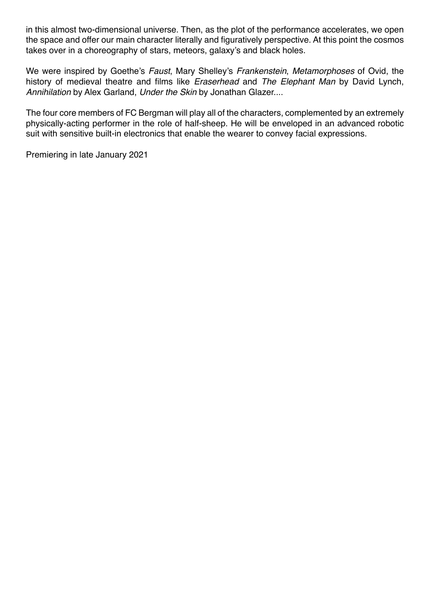in this almost two-dimensional universe. Then, as the plot of the performance accelerates, we open the space and offer our main character literally and figuratively perspective. At this point the cosmos takes over in a choreography of stars, meteors, galaxy's and black holes.

We were inspired by Goethe's Faust, Mary Shelley's Frankenstein, Metamorphoses of Ovid, the history of medieval theatre and films like *Eraserhead* and The Elephant Man by David Lynch, Annihilation by Alex Garland, Under the Skin by Jonathan Glazer....

The four core members of FC Bergman will play all of the characters, complemented by an extremely physically-acting performer in the role of half-sheep. He will be enveloped in an advanced robotic suit with sensitive built-in electronics that enable the wearer to convey facial expressions.

Premiering in late January 2021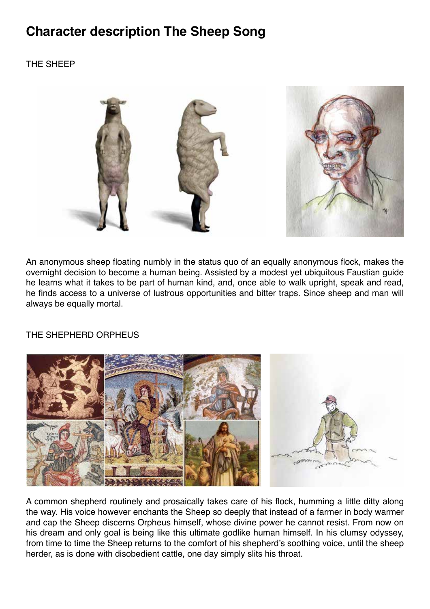## **Character description The Sheep Song**

## THE SHEEP



An anonymous sheep floating numbly in the status quo of an equally anonymous flock, makes the overnight decision to become a human being. Assisted by a modest yet ubiquitous Faustian guide he learns what it takes to be part of human kind, and, once able to walk upright, speak and read, he finds access to a universe of lustrous opportunities and bitter traps. Since sheep and man will always be equally mortal.

#### THE SHEPHERD ORPHEUS



A common shepherd routinely and prosaically takes care of his flock, humming a little ditty along the way. His voice however enchants the Sheep so deeply that instead of a farmer in body warmer and cap the Sheep discerns Orpheus himself, whose divine power he cannot resist. From now on his dream and only goal is being like this ultimate godlike human himself. In his clumsy odyssey, from time to time the Sheep returns to the comfort of his shepherd's soothing voice, until the sheep herder, as is done with disobedient cattle, one day simply slits his throat.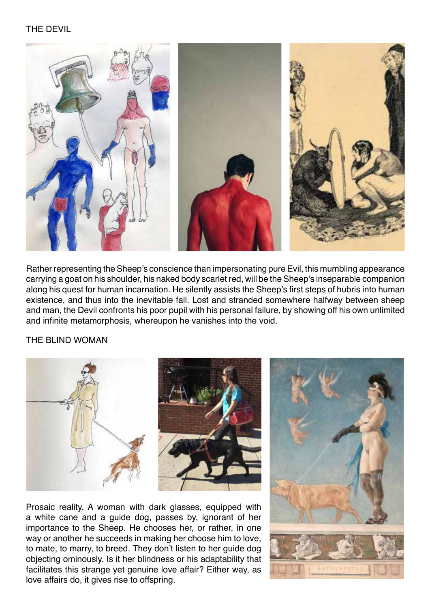

Rather representing the Sheep's conscience than impersonating pure Evil, this mumbling appearance carrying a goat on his shoulder, his naked body scarlet red, will be the Sheep's inseparable companion along his quest for human incarnation. He silently assists the Sheep's first steps of hubris into human existence, and thus into the inevitable fall. Lost and stranded somewhere halfway between sheep and man, the Devil confronts his poor pupil with his personal failure, by showing off his own unlimited and infinite metamorphosis, whereupon he vanishes into the void.

THE BLIND WOMAN



Prosaic reality. A woman with dark glasses, equipped with a white cane and a guide dog, passes by, ignorant of her importance to the Sheep. He chooses her, or rather, in one way or another he succeeds in making her choose him to love, to mate, to marry, to breed. They don't listen to her guide dog objecting ominously. Is it her blindness or his adaptability that facilitates this strange yet genuine love affair? Either way, as love affairs do, it gives rise to offspring.

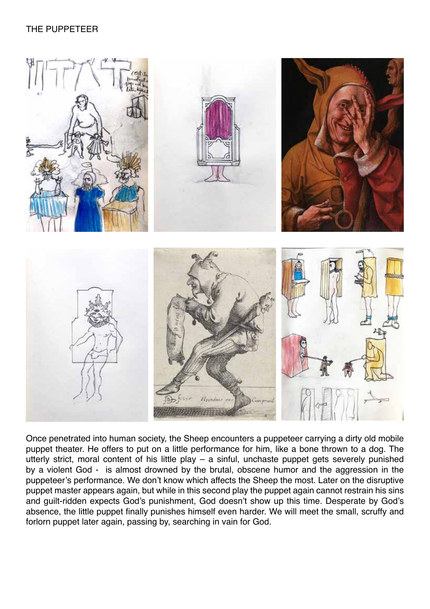## THE PUPPETEER



Once penetrated into human society, the Sheep encounters a puppeteer carrying a dirty old mobile puppet theater. He offers to put on a little performance for him, like a bone thrown to a dog. The utterly strict, moral content of his little play – a sinful, unchaste puppet gets severely punished by a violent God - is almost drowned by the brutal, obscene humor and the aggression in the puppeteer's performance. We don't know which affects the Sheep the most. Later on the disruptive puppet master appears again, but while in this second play the puppet again cannot restrain his sins and guilt-ridden expects God's punishment, God doesn't show up this time. Desperate by God's absence, the little puppet finally punishes himself even harder. We will meet the small, scruffy and forlorn puppet later again, passing by, searching in vain for God.